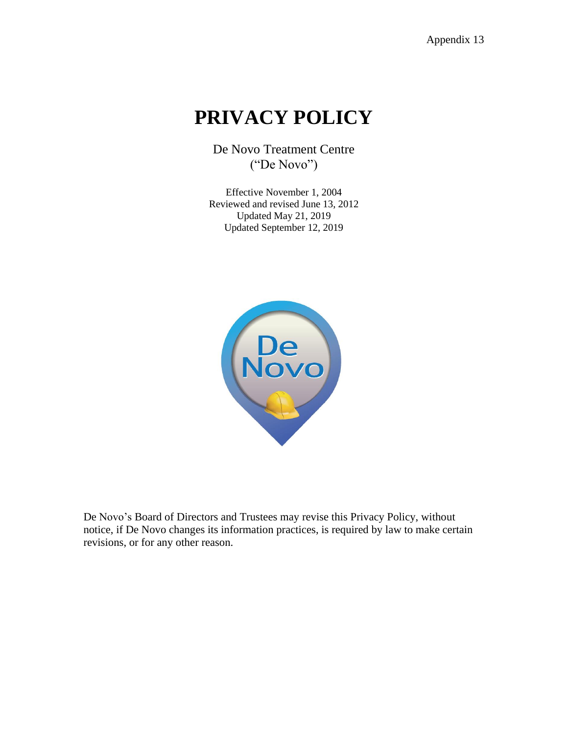# **PRIVACY POLICY**

De Novo Treatment Centre ("De Novo")

Effective November 1, 2004 Reviewed and revised June 13, 2012 Updated May 21, 2019 Updated September 12, 2019



De Novo's Board of Directors and Trustees may revise this Privacy Policy, without notice, if De Novo changes its information practices, is required by law to make certain revisions, or for any other reason.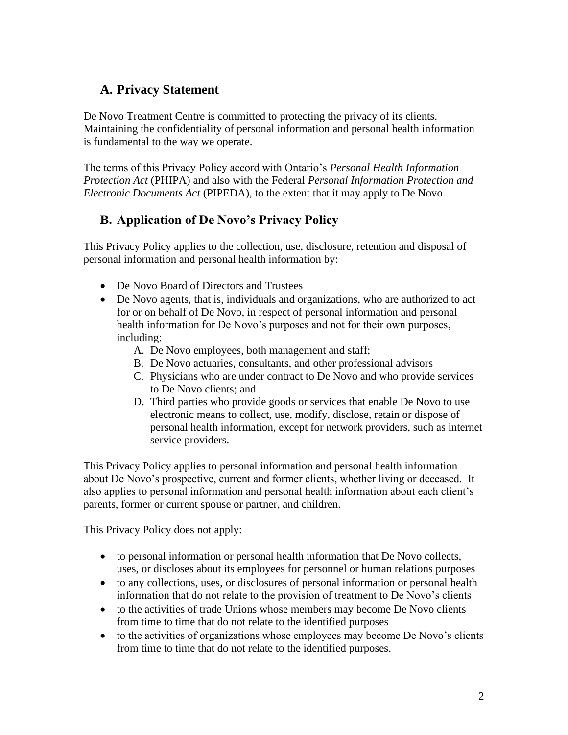# **A. Privacy Statement**

De Novo Treatment Centre is committed to protecting the privacy of its clients. Maintaining the confidentiality of personal information and personal health information is fundamental to the way we operate.

The terms of this Privacy Policy accord with Ontario's *Personal Health Information Protection Act* (PHIPA) and also with the Federal *Personal Information Protection and Electronic Documents Act* (PIPEDA), to the extent that it may apply to De Novo.

# **B. Application of De Novo's Privacy Policy**

This Privacy Policy applies to the collection, use, disclosure, retention and disposal of personal information and personal health information by:

- De Novo Board of Directors and Trustees
- De Novo agents, that is, individuals and organizations, who are authorized to act for or on behalf of De Novo, in respect of personal information and personal health information for De Novo's purposes and not for their own purposes, including:
	- A. De Novo employees, both management and staff;
	- B. De Novo actuaries, consultants, and other professional advisors
	- C. Physicians who are under contract to De Novo and who provide services to De Novo clients; and
	- D. Third parties who provide goods or services that enable De Novo to use electronic means to collect, use, modify, disclose, retain or dispose of personal health information, except for network providers, such as internet service providers.

This Privacy Policy applies to personal information and personal health information about De Novo's prospective, current and former clients, whether living or deceased. It also applies to personal information and personal health information about each client's parents, former or current spouse or partner, and children.

This Privacy Policy does not apply:

- to personal information or personal health information that De Novo collects, uses, or discloses about its employees for personnel or human relations purposes
- to any collections, uses, or disclosures of personal information or personal health information that do not relate to the provision of treatment to De Novo's clients
- to the activities of trade Unions whose members may become De Novo clients from time to time that do not relate to the identified purposes
- to the activities of organizations whose employees may become De Novo's clients from time to time that do not relate to the identified purposes.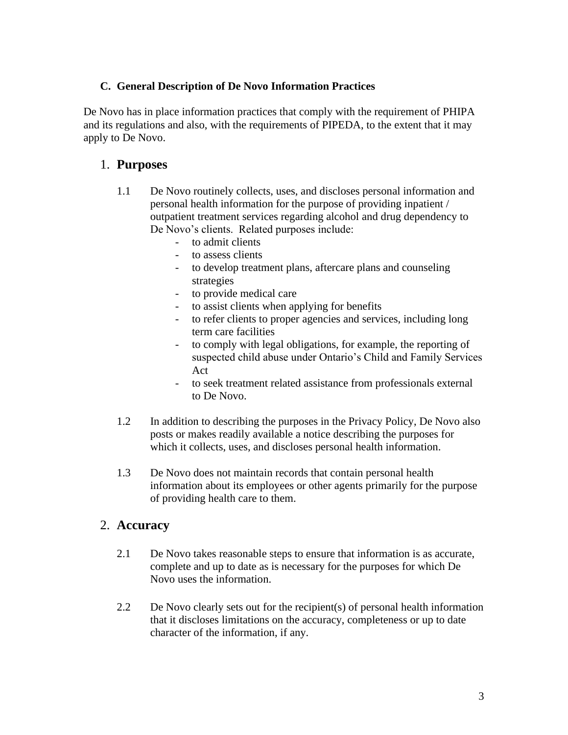#### **C. General Description of De Novo Information Practices**

De Novo has in place information practices that comply with the requirement of PHIPA and its regulations and also, with the requirements of PIPEDA, to the extent that it may apply to De Novo.

## 1. **Purposes**

- 1.1 De Novo routinely collects, uses, and discloses personal information and personal health information for the purpose of providing inpatient / outpatient treatment services regarding alcohol and drug dependency to De Novo's clients. Related purposes include:
	- to admit clients
	- to assess clients
	- to develop treatment plans, aftercare plans and counseling strategies
	- to provide medical care
	- to assist clients when applying for benefits
	- to refer clients to proper agencies and services, including long term care facilities
	- to comply with legal obligations, for example, the reporting of suspected child abuse under Ontario's Child and Family Services Act
	- to seek treatment related assistance from professionals external to De Novo.
- 1.2 In addition to describing the purposes in the Privacy Policy, De Novo also posts or makes readily available a notice describing the purposes for which it collects, uses, and discloses personal health information.
- 1.3 De Novo does not maintain records that contain personal health information about its employees or other agents primarily for the purpose of providing health care to them.

## 2. **Accuracy**

- 2.1 De Novo takes reasonable steps to ensure that information is as accurate, complete and up to date as is necessary for the purposes for which De Novo uses the information.
- 2.2 De Novo clearly sets out for the recipient(s) of personal health information that it discloses limitations on the accuracy, completeness or up to date character of the information, if any.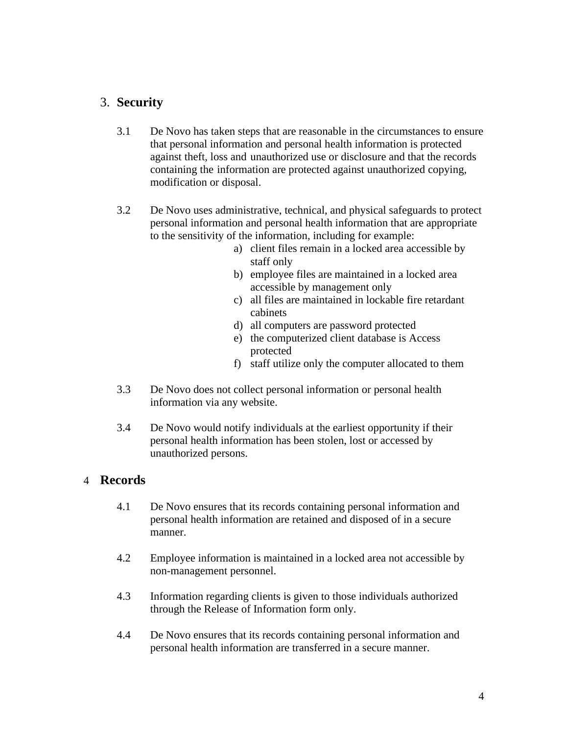## 3. **Security**

- 3.1 De Novo has taken steps that are reasonable in the circumstances to ensure that personal information and personal health information is protected against theft, loss and unauthorized use or disclosure and that the records containing the information are protected against unauthorized copying, modification or disposal.
- 3.2 De Novo uses administrative, technical, and physical safeguards to protect personal information and personal health information that are appropriate to the sensitivity of the information, including for example:
	- a) client files remain in a locked area accessible by staff only
	- b) employee files are maintained in a locked area accessible by management only
	- c) all files are maintained in lockable fire retardant cabinets
	- d) all computers are password protected
	- e) the computerized client database is Access protected
	- f) staff utilize only the computer allocated to them
- 3.3 De Novo does not collect personal information or personal health information via any website.
- 3.4 De Novo would notify individuals at the earliest opportunity if their personal health information has been stolen, lost or accessed by unauthorized persons.

## 4 **Records**

- 4.1 De Novo ensures that its records containing personal information and personal health information are retained and disposed of in a secure manner.
- 4.2 Employee information is maintained in a locked area not accessible by non-management personnel.
- 4.3 Information regarding clients is given to those individuals authorized through the Release of Information form only.
- 4.4 De Novo ensures that its records containing personal information and personal health information are transferred in a secure manner.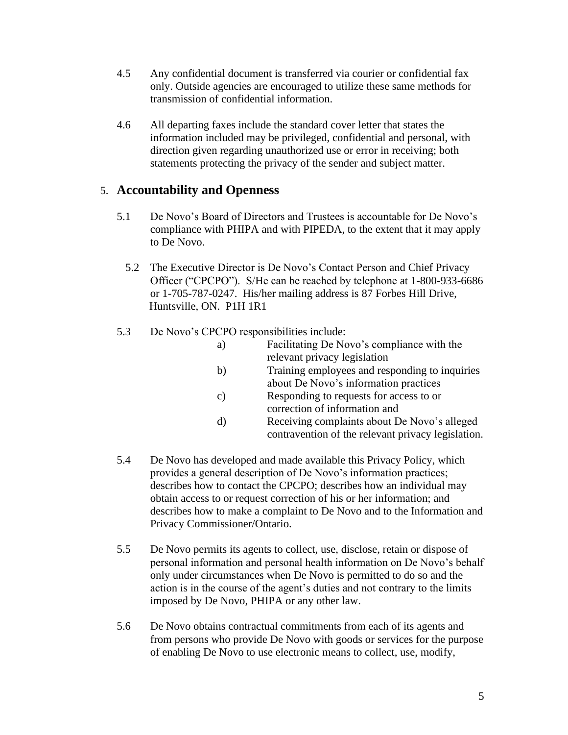- 4.5 Any confidential document is transferred via courier or confidential fax only. Outside agencies are encouraged to utilize these same methods for transmission of confidential information.
- 4.6 All departing faxes include the standard cover letter that states the information included may be privileged, confidential and personal, with direction given regarding unauthorized use or error in receiving; both statements protecting the privacy of the sender and subject matter.

## 5. **Accountability and Openness**

- 5.1 De Novo's Board of Directors and Trustees is accountable for De Novo's compliance with PHIPA and with PIPEDA, to the extent that it may apply to De Novo.
	- 5.2 The Executive Director is De Novo's Contact Person and Chief Privacy Officer ("CPCPO"). S/He can be reached by telephone at 1-800-933-6686 or 1-705-787-0247. His/her mailing address is 87 Forbes Hill Drive, Huntsville, ON. P1H 1R1
- 5.3 De Novo's CPCPO responsibilities include:

| a) | Facilitating De Novo's compliance with the         |
|----|----------------------------------------------------|
|    | relevant privacy legislation                       |
| b) | Training employees and responding to inquiries     |
|    | about De Novo's information practices              |
| C) | Responding to requests for access to or            |
|    | correction of information and                      |
|    | Receiving complaints about De Novo's alleged       |
|    | contravention of the relevant privacy legislation. |
|    |                                                    |

- 5.4 De Novo has developed and made available this Privacy Policy, which provides a general description of De Novo's information practices; describes how to contact the CPCPO; describes how an individual may obtain access to or request correction of his or her information; and describes how to make a complaint to De Novo and to the Information and Privacy Commissioner/Ontario.
- 5.5 De Novo permits its agents to collect, use, disclose, retain or dispose of personal information and personal health information on De Novo's behalf only under circumstances when De Novo is permitted to do so and the action is in the course of the agent's duties and not contrary to the limits imposed by De Novo, PHIPA or any other law.
- 5.6 De Novo obtains contractual commitments from each of its agents and from persons who provide De Novo with goods or services for the purpose of enabling De Novo to use electronic means to collect, use, modify,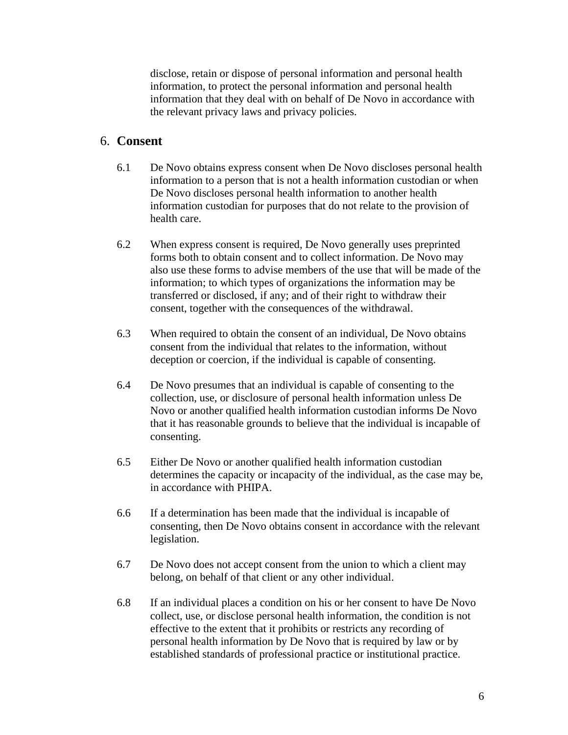disclose, retain or dispose of personal information and personal health information, to protect the personal information and personal health information that they deal with on behalf of De Novo in accordance with the relevant privacy laws and privacy policies.

#### 6. **Consent**

- 6.1 De Novo obtains express consent when De Novo discloses personal health information to a person that is not a health information custodian or when De Novo discloses personal health information to another health information custodian for purposes that do not relate to the provision of health care.
- 6.2 When express consent is required, De Novo generally uses preprinted forms both to obtain consent and to collect information. De Novo may also use these forms to advise members of the use that will be made of the information; to which types of organizations the information may be transferred or disclosed, if any; and of their right to withdraw their consent, together with the consequences of the withdrawal.
- 6.3 When required to obtain the consent of an individual, De Novo obtains consent from the individual that relates to the information, without deception or coercion, if the individual is capable of consenting.
- 6.4 De Novo presumes that an individual is capable of consenting to the collection, use, or disclosure of personal health information unless De Novo or another qualified health information custodian informs De Novo that it has reasonable grounds to believe that the individual is incapable of consenting.
- 6.5 Either De Novo or another qualified health information custodian determines the capacity or incapacity of the individual, as the case may be, in accordance with PHIPA.
- 6.6 If a determination has been made that the individual is incapable of consenting, then De Novo obtains consent in accordance with the relevant legislation.
- 6.7 De Novo does not accept consent from the union to which a client may belong, on behalf of that client or any other individual.
- 6.8 If an individual places a condition on his or her consent to have De Novo collect, use, or disclose personal health information, the condition is not effective to the extent that it prohibits or restricts any recording of personal health information by De Novo that is required by law or by established standards of professional practice or institutional practice.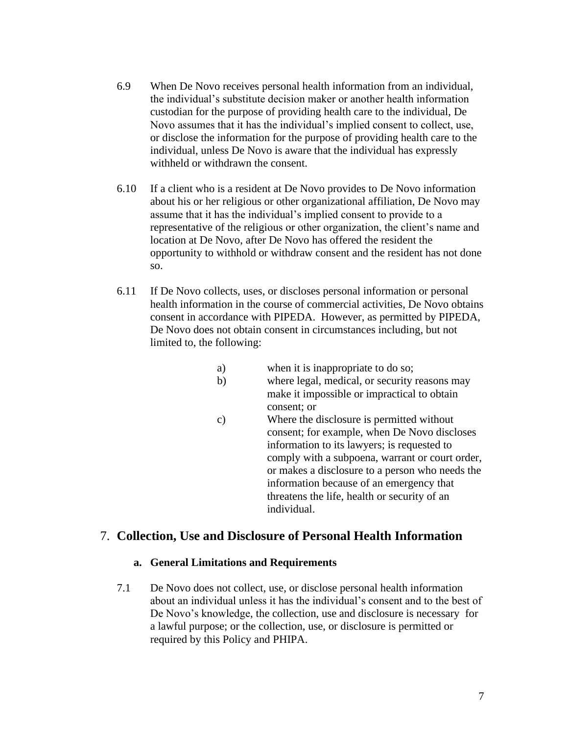- 6.9 When De Novo receives personal health information from an individual, the individual's substitute decision maker or another health information custodian for the purpose of providing health care to the individual, De Novo assumes that it has the individual's implied consent to collect, use, or disclose the information for the purpose of providing health care to the individual, unless De Novo is aware that the individual has expressly withheld or withdrawn the consent.
- 6.10 If a client who is a resident at De Novo provides to De Novo information about his or her religious or other organizational affiliation, De Novo may assume that it has the individual's implied consent to provide to a representative of the religious or other organization, the client's name and location at De Novo, after De Novo has offered the resident the opportunity to withhold or withdraw consent and the resident has not done so.
- 6.11 If De Novo collects, uses, or discloses personal information or personal health information in the course of commercial activities, De Novo obtains consent in accordance with PIPEDA. However, as permitted by PIPEDA, De Novo does not obtain consent in circumstances including, but not limited to, the following:
	- a) when it is inappropriate to do so;
	- b) where legal, medical, or security reasons may make it impossible or impractical to obtain consent; or
	- c) Where the disclosure is permitted without consent; for example, when De Novo discloses information to its lawyers; is requested to comply with a subpoena, warrant or court order, or makes a disclosure to a person who needs the information because of an emergency that threatens the life, health or security of an individual.

## 7. **Collection, Use and Disclosure of Personal Health Information**

#### **a. General Limitations and Requirements**

7.1 De Novo does not collect, use, or disclose personal health information about an individual unless it has the individual's consent and to the best of De Novo's knowledge, the collection, use and disclosure is necessary for a lawful purpose; or the collection, use, or disclosure is permitted or required by this Policy and PHIPA.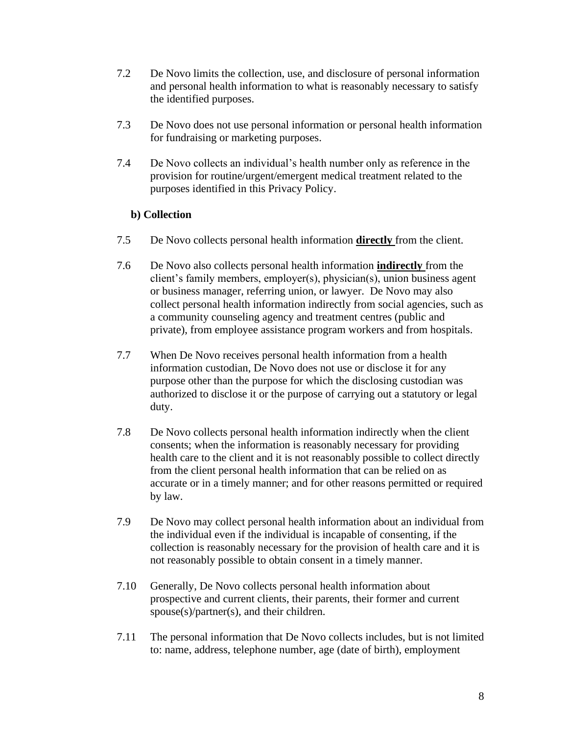- 7.2 De Novo limits the collection, use, and disclosure of personal information and personal health information to what is reasonably necessary to satisfy the identified purposes.
- 7.3 De Novo does not use personal information or personal health information for fundraising or marketing purposes.
- 7.4 De Novo collects an individual's health number only as reference in the provision for routine/urgent/emergent medical treatment related to the purposes identified in this Privacy Policy.

#### **b) Collection**

- 7.5 De Novo collects personal health information **directly** from the client.
- 7.6 De Novo also collects personal health information **indirectly** from the client's family members, employer(s), physician(s), union business agent or business manager, referring union, or lawyer. De Novo may also collect personal health information indirectly from social agencies, such as a community counseling agency and treatment centres (public and private), from employee assistance program workers and from hospitals.
- 7.7 When De Novo receives personal health information from a health information custodian, De Novo does not use or disclose it for any purpose other than the purpose for which the disclosing custodian was authorized to disclose it or the purpose of carrying out a statutory or legal duty.
- 7.8 De Novo collects personal health information indirectly when the client consents; when the information is reasonably necessary for providing health care to the client and it is not reasonably possible to collect directly from the client personal health information that can be relied on as accurate or in a timely manner; and for other reasons permitted or required by law.
- 7.9 De Novo may collect personal health information about an individual from the individual even if the individual is incapable of consenting, if the collection is reasonably necessary for the provision of health care and it is not reasonably possible to obtain consent in a timely manner.
- 7.10 Generally, De Novo collects personal health information about prospective and current clients, their parents, their former and current spouse(s)/partner(s), and their children.
- 7.11 The personal information that De Novo collects includes, but is not limited to: name, address, telephone number, age (date of birth), employment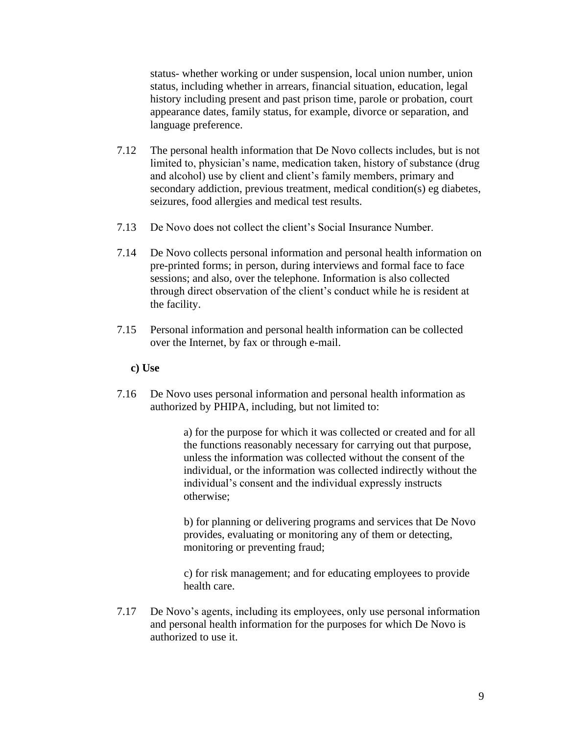status- whether working or under suspension, local union number, union status, including whether in arrears, financial situation, education, legal history including present and past prison time, parole or probation, court appearance dates, family status, for example, divorce or separation, and language preference.

- 7.12 The personal health information that De Novo collects includes, but is not limited to, physician's name, medication taken, history of substance (drug and alcohol) use by client and client's family members, primary and secondary addiction, previous treatment, medical condition(s) eg diabetes, seizures, food allergies and medical test results.
- 7.13 De Novo does not collect the client's Social Insurance Number.
- 7.14 De Novo collects personal information and personal health information on pre-printed forms; in person, during interviews and formal face to face sessions; and also, over the telephone. Information is also collected through direct observation of the client's conduct while he is resident at the facility.
- 7.15 Personal information and personal health information can be collected over the Internet, by fax or through e-mail.

#### **c) Use**

7.16 De Novo uses personal information and personal health information as authorized by PHIPA, including, but not limited to:

> a) for the purpose for which it was collected or created and for all the functions reasonably necessary for carrying out that purpose, unless the information was collected without the consent of the individual, or the information was collected indirectly without the individual's consent and the individual expressly instructs otherwise;

> b) for planning or delivering programs and services that De Novo provides, evaluating or monitoring any of them or detecting, monitoring or preventing fraud;

c) for risk management; and for educating employees to provide health care.

7.17 De Novo's agents, including its employees, only use personal information and personal health information for the purposes for which De Novo is authorized to use it.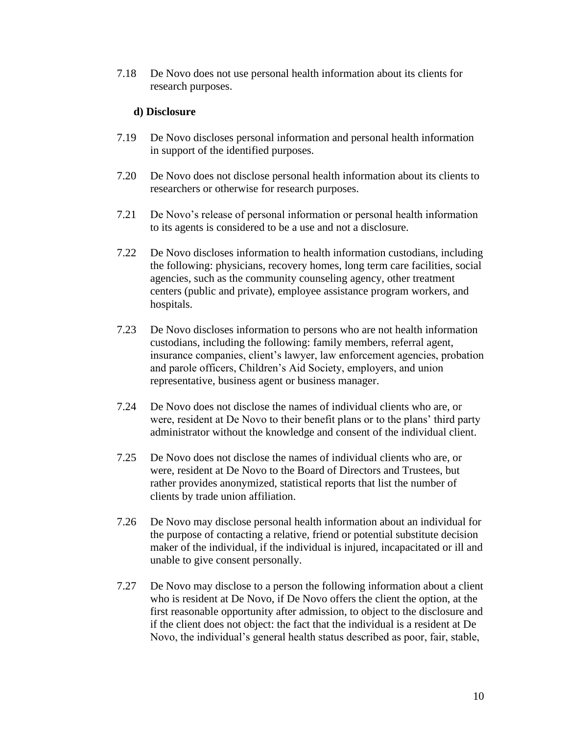7.18 De Novo does not use personal health information about its clients for research purposes.

#### **d) Disclosure**

- 7.19 De Novo discloses personal information and personal health information in support of the identified purposes.
- 7.20 De Novo does not disclose personal health information about its clients to researchers or otherwise for research purposes.
- 7.21 De Novo's release of personal information or personal health information to its agents is considered to be a use and not a disclosure.
- 7.22 De Novo discloses information to health information custodians, including the following: physicians, recovery homes, long term care facilities, social agencies, such as the community counseling agency, other treatment centers (public and private), employee assistance program workers, and hospitals.
- 7.23 De Novo discloses information to persons who are not health information custodians, including the following: family members, referral agent, insurance companies, client's lawyer, law enforcement agencies, probation and parole officers, Children's Aid Society, employers, and union representative, business agent or business manager.
- 7.24 De Novo does not disclose the names of individual clients who are, or were, resident at De Novo to their benefit plans or to the plans' third party administrator without the knowledge and consent of the individual client.
- 7.25 De Novo does not disclose the names of individual clients who are, or were, resident at De Novo to the Board of Directors and Trustees, but rather provides anonymized, statistical reports that list the number of clients by trade union affiliation.
- 7.26 De Novo may disclose personal health information about an individual for the purpose of contacting a relative, friend or potential substitute decision maker of the individual, if the individual is injured, incapacitated or ill and unable to give consent personally.
- 7.27 De Novo may disclose to a person the following information about a client who is resident at De Novo, if De Novo offers the client the option, at the first reasonable opportunity after admission, to object to the disclosure and if the client does not object: the fact that the individual is a resident at De Novo, the individual's general health status described as poor, fair, stable,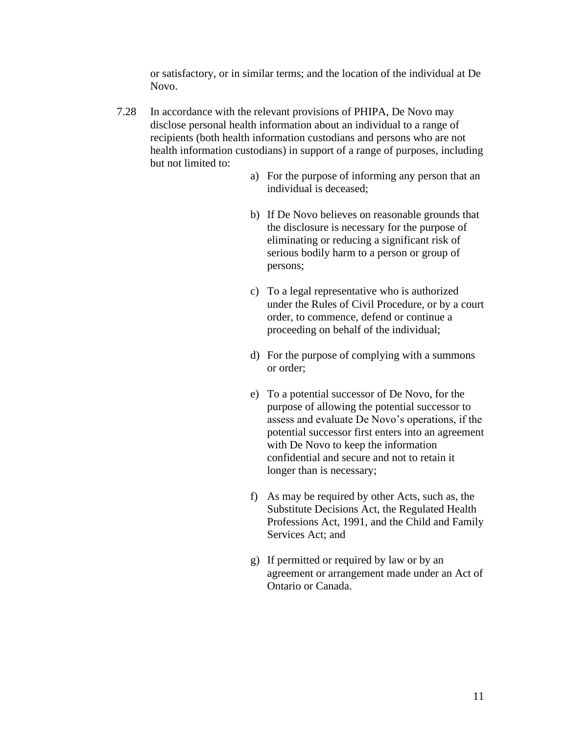or satisfactory, or in similar terms; and the location of the individual at De Novo.

- 7.28 In accordance with the relevant provisions of PHIPA, De Novo may disclose personal health information about an individual to a range of recipients (both health information custodians and persons who are not health information custodians) in support of a range of purposes, including but not limited to:
	- a) For the purpose of informing any person that an individual is deceased;
	- b) If De Novo believes on reasonable grounds that the disclosure is necessary for the purpose of eliminating or reducing a significant risk of serious bodily harm to a person or group of persons;
	- c) To a legal representative who is authorized under the Rules of Civil Procedure, or by a court order, to commence, defend or continue a proceeding on behalf of the individual;
	- d) For the purpose of complying with a summons or order;
	- e) To a potential successor of De Novo, for the purpose of allowing the potential successor to assess and evaluate De Novo's operations, if the potential successor first enters into an agreement with De Novo to keep the information confidential and secure and not to retain it longer than is necessary;
	- f) As may be required by other Acts, such as, the Substitute Decisions Act, the Regulated Health Professions Act, 1991, and the Child and Family Services Act; and
	- g) If permitted or required by law or by an agreement or arrangement made under an Act of Ontario or Canada.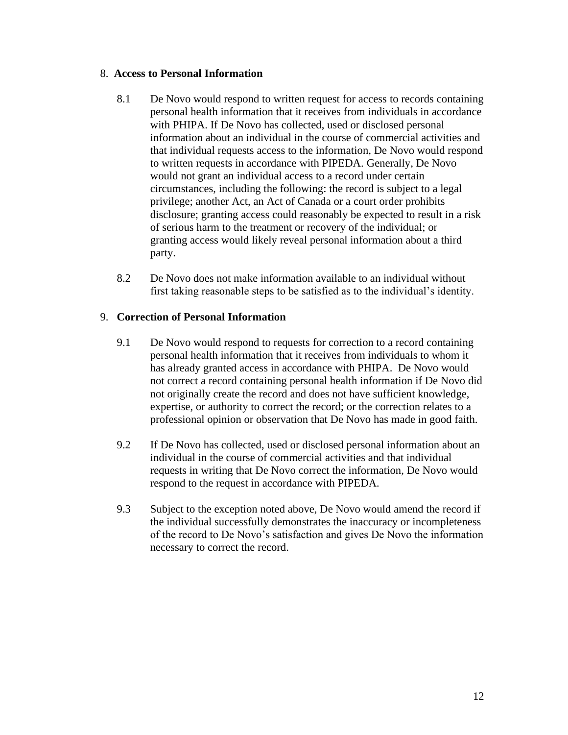#### 8. **Access to Personal Information**

- 8.1 De Novo would respond to written request for access to records containing personal health information that it receives from individuals in accordance with PHIPA. If De Novo has collected, used or disclosed personal information about an individual in the course of commercial activities and that individual requests access to the information, De Novo would respond to written requests in accordance with PIPEDA. Generally, De Novo would not grant an individual access to a record under certain circumstances, including the following: the record is subject to a legal privilege; another Act, an Act of Canada or a court order prohibits disclosure; granting access could reasonably be expected to result in a risk of serious harm to the treatment or recovery of the individual; or granting access would likely reveal personal information about a third party.
- 8.2 De Novo does not make information available to an individual without first taking reasonable steps to be satisfied as to the individual's identity.

#### 9. **Correction of Personal Information**

- 9.1 De Novo would respond to requests for correction to a record containing personal health information that it receives from individuals to whom it has already granted access in accordance with PHIPA. De Novo would not correct a record containing personal health information if De Novo did not originally create the record and does not have sufficient knowledge, expertise, or authority to correct the record; or the correction relates to a professional opinion or observation that De Novo has made in good faith.
- 9.2 If De Novo has collected, used or disclosed personal information about an individual in the course of commercial activities and that individual requests in writing that De Novo correct the information, De Novo would respond to the request in accordance with PIPEDA.
- 9.3 Subject to the exception noted above, De Novo would amend the record if the individual successfully demonstrates the inaccuracy or incompleteness of the record to De Novo's satisfaction and gives De Novo the information necessary to correct the record.